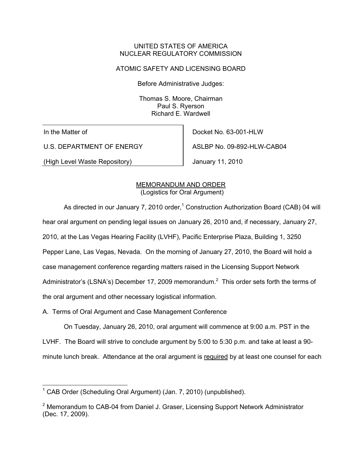### UNITED STATES OF AMERICA NUCLEAR REGULATORY COMMISSION

## ATOMIC SAFETY AND LICENSING BOARD

Before Administrative Judges:

Thomas S. Moore, Chairman Paul S. Ryerson Richard E. Wardwell

In the Matter of

U.S. DEPARTMENT OF ENERGY

(High Level Waste Repository)

Docket No. 63-001-HLW ASLBP No. 09-892-HLW-CAB04 January 11, 2010

# MEMORANDUM AND ORDER (Logistics for Oral Argument)

As directed in our January 7, 2010 order,<sup>1</sup> Construction Authorization Board (CAB) 04 will hear oral argument on pending legal issues on January 26, 2010 and, if necessary, January 27, 2010, at the Las Vegas Hearing Facility (LVHF), Pacific Enterprise Plaza, Building 1, 3250 Pepper Lane, Las Vegas, Nevada. On the morning of January 27, 2010, the Board will hold a case management conference regarding matters raised in the Licensing Support Network Administrator's (LSNA's) December 17, 2009 memorandum.<sup>2</sup> This order sets forth the terms of the oral argument and other necessary logistical information.

A. Terms of Oral Argument and Case Management Conference

 On Tuesday, January 26, 2010, oral argument will commence at 9:00 a.m. PST in the LVHF. The Board will strive to conclude argument by 5:00 to 5:30 p.m. and take at least a 90 minute lunch break. Attendance at the oral argument is required by at least one counsel for each

<sup>-</sup><sup>1</sup> CAB Order (Scheduling Oral Argument) (Jan. 7, 2010) (unpublished).

<sup>&</sup>lt;sup>2</sup> Memorandum to CAB-04 from Daniel J. Graser, Licensing Support Network Administrator (Dec. 17, 2009).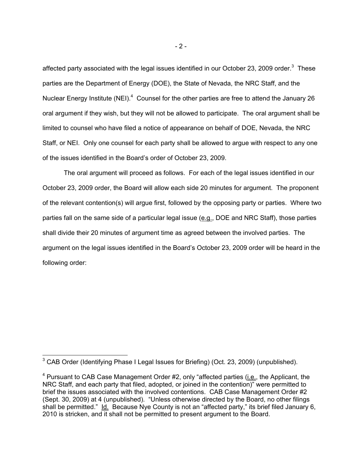affected party associated with the legal issues identified in our October 23, 2009 order.<sup>3</sup> These parties are the Department of Energy (DOE), the State of Nevada, the NRC Staff, and the Nuclear Energy Institute (NEI). $<sup>4</sup>$  Counsel for the other parties are free to attend the January 26</sup> oral argument if they wish, but they will not be allowed to participate. The oral argument shall be limited to counsel who have filed a notice of appearance on behalf of DOE, Nevada, the NRC Staff, or NEI. Only one counsel for each party shall be allowed to argue with respect to any one of the issues identified in the Board's order of October 23, 2009.

 The oral argument will proceed as follows. For each of the legal issues identified in our October 23, 2009 order, the Board will allow each side 20 minutes for argument. The proponent of the relevant contention(s) will argue first, followed by the opposing party or parties. Where two parties fall on the same side of a particular legal issue (e.g., DOE and NRC Staff), those parties shall divide their 20 minutes of argument time as agreed between the involved parties. The argument on the legal issues identified in the Board's October 23, 2009 order will be heard in the following order:

 3 CAB Order (Identifying Phase I Legal Issues for Briefing) (Oct. 23, 2009) (unpublished).

 $4$  Pursuant to CAB Case Management Order #2, only "affected parties (*i.e.*, the Applicant, the NRC Staff, and each party that filed, adopted, or joined in the contention)" were permitted to brief the issues associated with the involved contentions. CAB Case Management Order #2 (Sept. 30, 2009) at 4 (unpublished). "Unless otherwise directed by the Board, no other filings shall be permitted." Id. Because Nye County is not an "affected party," its brief filed January 6, 2010 is stricken, and it shall not be permitted to present argument to the Board.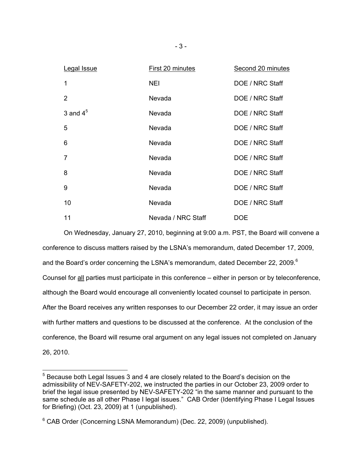| Legal Issue    | First 20 minutes   | Second 20 minutes |
|----------------|--------------------|-------------------|
| 1              | <b>NEI</b>         | DOE / NRC Staff   |
| $\overline{2}$ | Nevada             | DOE / NRC Staff   |
| 3 and $4^5$    | Nevada             | DOE / NRC Staff   |
| 5              | Nevada             | DOE / NRC Staff   |
| 6              | Nevada             | DOE / NRC Staff   |
| $\overline{7}$ | Nevada             | DOE / NRC Staff   |
| 8              | Nevada             | DOE / NRC Staff   |
| 9              | Nevada             | DOE / NRC Staff   |
| 10             | Nevada             | DOE / NRC Staff   |
| 11             | Nevada / NRC Staff | <b>DOE</b>        |

 On Wednesday, January 27, 2010, beginning at 9:00 a.m. PST, the Board will convene a conference to discuss matters raised by the LSNA's memorandum, dated December 17, 2009, and the Board's order concerning the LSNA's memorandum, dated December 22, 2009. $^6$ Counsel for all parties must participate in this conference – either in person or by teleconference, although the Board would encourage all conveniently located counsel to participate in person. After the Board receives any written responses to our December 22 order, it may issue an order with further matters and questions to be discussed at the conference. At the conclusion of the conference, the Board will resume oral argument on any legal issues not completed on January 26, 2010.

 $5$  Because both Legal Issues 3 and 4 are closely related to the Board's decision on the admissibility of NEV-SAFETY-202, we instructed the parties in our October 23, 2009 order to brief the legal issue presented by NEV-SAFETY-202 "in the same manner and pursuant to the same schedule as all other Phase I legal issues." CAB Order (Identifying Phase I Legal Issues for Briefing) (Oct. 23, 2009) at 1 (unpublished).

<sup>6</sup> CAB Order (Concerning LSNA Memorandum) (Dec. 22, 2009) (unpublished).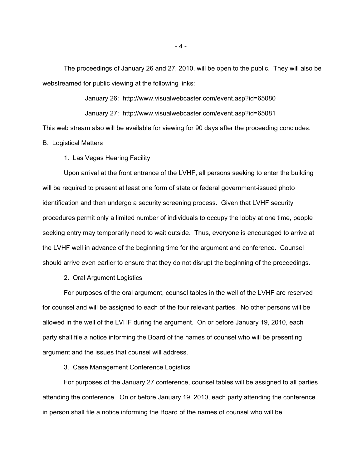The proceedings of January 26 and 27, 2010, will be open to the public. They will also be webstreamed for public viewing at the following links:

January 26: http://www.visualwebcaster.com/event.asp?id=65080

January 27: http://www.visualwebcaster.com/event.asp?id=65081

This web stream also will be available for viewing for 90 days after the proceeding concludes.

B. Logistical Matters

1. Las Vegas Hearing Facility

 Upon arrival at the front entrance of the LVHF, all persons seeking to enter the building will be required to present at least one form of state or federal government-issued photo identification and then undergo a security screening process. Given that LVHF security procedures permit only a limited number of individuals to occupy the lobby at one time, people seeking entry may temporarily need to wait outside. Thus, everyone is encouraged to arrive at the LVHF well in advance of the beginning time for the argument and conference. Counsel should arrive even earlier to ensure that they do not disrupt the beginning of the proceedings.

2. Oral Argument Logistics

For purposes of the oral argument, counsel tables in the well of the LVHF are reserved for counsel and will be assigned to each of the four relevant parties. No other persons will be allowed in the well of the LVHF during the argument. On or before January 19, 2010, each party shall file a notice informing the Board of the names of counsel who will be presenting argument and the issues that counsel will address.

3. Case Management Conference Logistics

For purposes of the January 27 conference, counsel tables will be assigned to all parties attending the conference. On or before January 19, 2010, each party attending the conference in person shall file a notice informing the Board of the names of counsel who will be

 $-4$  -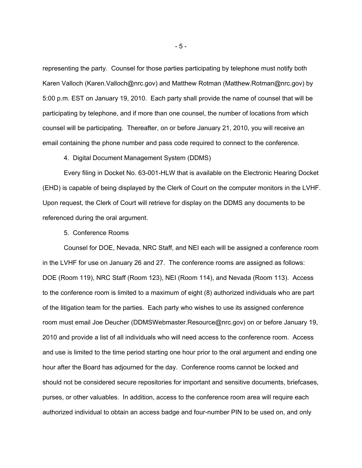representing the party. Counsel for those parties participating by telephone must notify both Karen Valloch (Karen.Valloch@nrc.gov) and Matthew Rotman (Matthew.Rotman@nrc.gov) by 5:00 p.m. EST on January 19, 2010. Each party shall provide the name of counsel that will be participating by telephone, and if more than one counsel, the number of locations from which counsel will be participating. Thereafter, on or before January 21, 2010, you will receive an email containing the phone number and pass code required to connect to the conference.

4. Digital Document Management System (DDMS)

Every filing in Docket No. 63-001-HLW that is available on the Electronic Hearing Docket (EHD) is capable of being displayed by the Clerk of Court on the computer monitors in the LVHF. Upon request, the Clerk of Court will retrieve for display on the DDMS any documents to be referenced during the oral argument.

5. Conference Rooms

 Counsel for DOE, Nevada, NRC Staff, and NEI each will be assigned a conference room in the LVHF for use on January 26 and 27. The conference rooms are assigned as follows: DOE (Room 119), NRC Staff (Room 123), NEI (Room 114), and Nevada (Room 113). Access to the conference room is limited to a maximum of eight (8) authorized individuals who are part of the litigation team for the parties. Each party who wishes to use its assigned conference room must email Joe Deucher (DDMSWebmaster.Resource@nrc.gov) on or before January 19, 2010 and provide a list of all individuals who will need access to the conference room. Access and use is limited to the time period starting one hour prior to the oral argument and ending one hour after the Board has adjourned for the day. Conference rooms cannot be locked and should not be considered secure repositories for important and sensitive documents, briefcases, purses, or other valuables. In addition, access to the conference room area will require each authorized individual to obtain an access badge and four-number PIN to be used on, and only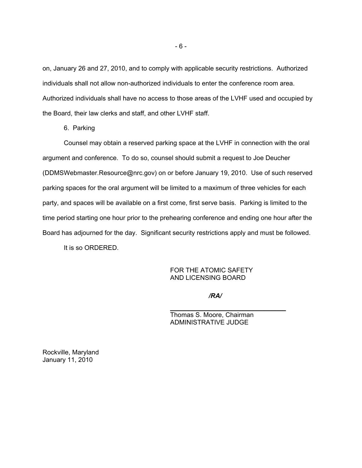on, January 26 and 27, 2010, and to comply with applicable security restrictions. Authorized individuals shall not allow non-authorized individuals to enter the conference room area. Authorized individuals shall have no access to those areas of the LVHF used and occupied by the Board, their law clerks and staff, and other LVHF staff.

6. Parking

 Counsel may obtain a reserved parking space at the LVHF in connection with the oral argument and conference. To do so, counsel should submit a request to Joe Deucher (DDMSWebmaster.Resource@nrc.gov) on or before January 19, 2010. Use of such reserved parking spaces for the oral argument will be limited to a maximum of three vehicles for each party, and spaces will be available on a first come, first serve basis. Parking is limited to the time period starting one hour prior to the prehearing conference and ending one hour after the Board has adjourned for the day. Significant security restrictions apply and must be followed.

It is so ORDERED.

FOR THE ATOMIC SAFETY AND LICENSING BOARD

*/RA/*

\_\_\_\_\_\_\_\_\_\_\_\_\_\_\_\_\_\_\_\_\_\_\_\_\_\_\_\_\_\_\_\_

Thomas S. Moore, Chairman ADMINISTRATIVE JUDGE

Rockville, Maryland January 11, 2010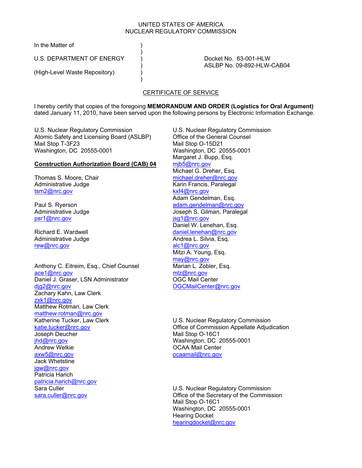#### UNITED STATES OF AMERICA NUCLEAR REGULATORY COMMISSION

In the Matter of (1)

U.S. DEPARTMENT OF ENERGY (DEPARTMENT OF A SALLY CONSERVED ASSESSMENT OF ENERGY AND THE USE OF A DOCKET NO. 63-001-HLW

 $)$ 

 $)$ 

(High-Level Waste Repository) (a

) ASLBP No. 09-892-HLW-CAB04

## CERTIFICATE OF SERVICE

I hereby certify that copies of the foregoing **MEMORANDUM AND ORDER (Logistics for Oral Argument)** dated January 11, 2010, have been served upon the following persons by Electronic Information Exchange.

U.S. Nuclear Regulatory Commission Atomic Safety and Licensing Board (ASLBP) Mail Stop T-3F23 Washington, DC 20555-0001

#### **Construction Authorization Board (CAB) 04**

Thomas S. Moore, Chair Administrative Judge tsm2@nrc.gov

Paul S. Ryerson Administrative Judge psr1@nrc.gov

Richard E. Wardwell Administrative Judge rew@nrc.gov

Anthony C. Eitreim, Esq., Chief Counsel ace1@nrc.gov Daniel J. Graser, LSN Administrator djg2@nrc.gov Zachary Kahn, Law Clerk zxk1@nrc.gov Matthew Rotman, Law Clerk matthew.rotman@nrc.gov Katherine Tucker, Law Clerk katie.tucker@nrc.gov Joseph Deucher jhd@nrc.gov Andrew Welkie axw5@nrc.gov Jack Whetstine jgw@nrc.gov Patricia Harich patricia.harich@nrc.gov Sara Culler sara.culler@nrc.gov

U.S. Nuclear Regulatory Commission Office of the General Counsel Mail Stop O-15D21 Washington, DC 20555-0001 Margaret J. Bupp, Esq. mjb5@nrc.gov Michael G. Dreher, Esq. michael.dreher@nrc.gov Karin Francis, Paralegal kxf4@nrc.gov Adam Gendelman, Esq. adam.gendelman@nrc.gov Joseph S. Gilman, Paralegal jsg1@nrc.gov Daniel W. Lenehan, Esq. daniel.lenehan@nrc.gov Andrea L. Silvia, Esq. alc1@nrc.gov Mitzi A. Young, Esq. may@nrc.gov Marian L. Zobler, Esq. mlz@nrc.gov OGC Mail Center OGCMailCenter@nrc.gov

U.S. Nuclear Regulatory Commission Office of Commission Appellate Adjudication Mail Stop O-16C1 Washington, DC 20555-0001 OCAA Mail Center ocaamail@nrc.gov

U.S. Nuclear Regulatory Commission Office of the Secretary of the Commission Mail Stop O-16C1 Washington, DC 20555-0001 Hearing Docket hearingdocket@nrc.gov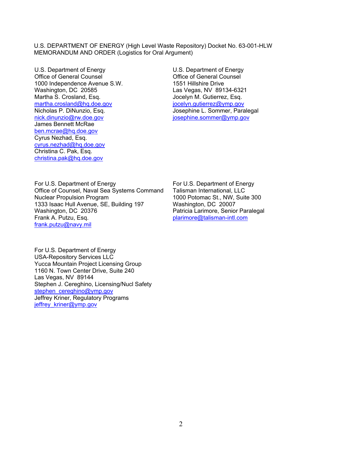U.S. Department of Energy Office of General Counsel 1000 Independence Avenue S.W. Washington, DC 20585 Martha S. Crosland, Esq. martha.crosland@hq.doe.gov Nicholas P. DiNunzio, Esq. nick.dinunzio@rw.doe.gov James Bennett McRae ben.mcrae@hq.doe.gov Cyrus Nezhad, Esq. cyrus.nezhad@hq.doe.gov Christina C. Pak, Esq. christina.pak@hq.doe.gov

U.S. Department of Energy Office of General Counsel 1551 Hillshire Drive Las Vegas, NV 89134-6321 Jocelyn M. Gutierrez, Esq. jocelyn.gutierrez@ymp.gov Josephine L. Sommer, Paralegal josephine.sommer@ymp.gov

For U.S. Department of Energy Office of Counsel, Naval Sea Systems Command Nuclear Propulsion Program 1333 Isaac Hull Avenue, SE, Building 197 Washington, DC 20376 Frank A. Putzu, Esq. frank.putzu@navy.mil

For U.S. Department of Energy Talisman International, LLC 1000 Potomac St., NW, Suite 300 Washington, DC 20007 Patricia Larimore, Senior Paralegal plarimore@talisman-intl.com

For U.S. Department of Energy USA-Repository Services LLC Yucca Mountain Project Licensing Group 1160 N. Town Center Drive, Suite 240 Las Vegas, NV 89144 Stephen J. Cereghino, Licensing/Nucl Safety stephen\_cereghino@ymp.gov Jeffrey Kriner, Regulatory Programs jeffrey\_kriner@ymp.gov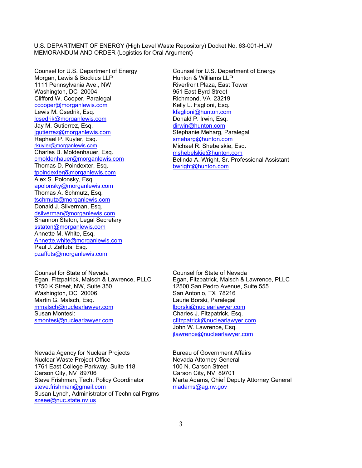Counsel for U.S. Department of Energy Morgan, Lewis & Bockius LLP 1111 Pennsylvania Ave., NW Washington, DC 20004 Clifford W. Cooper, Paralegal ccooper@morganlewis.com Lewis M. Csedrik, Esq. lcsedrik@morganlewis.com Jay M. Gutierrez, Esq. jgutierrez@morganlewis.com Raphael P. Kuyler, Esq. rkuyler@morganlewis.com Charles B. Moldenhauer, Esq. cmoldenhauer@morganlewis.com Thomas D. Poindexter, Esq. tpoindexter@morganlewis.com Alex S. Polonsky, Esq. apolonsky@morganlewis.com Thomas A. Schmutz, Esq. tschmutz@morganlewis.com Donald J. Silverman, Esq. dsilverman@morganlewis.com Shannon Staton, Legal Secretary sstaton@morganlewis.com Annette M. White, Esq. Annette.white@morganlewis.com Paul J. Zaffuts, Esq. pzaffuts@morganlewis.com

Counsel for State of Nevada Egan, Fitzpatrick, Malsch & Lawrence, PLLC 1750 K Street, NW, Suite 350 Washington, DC 20006 Martin G. Malsch, Esq. mmalsch@nuclearlawyer.com Susan Montesi: smontesi@nuclearlawyer.com

Nevada Agency for Nuclear Projects Nuclear Waste Project Office 1761 East College Parkway, Suite 118 Carson City, NV 89706 Steve Frishman, Tech. Policy Coordinator steve.frishman@gmail.com Susan Lynch, Administrator of Technical Prgms szeee@nuc.state.nv.us

Counsel for U.S. Department of Energy Hunton & Williams LLP Riverfront Plaza, East Tower 951 East Byrd Street Richmond, VA 23219 Kelly L. Faglioni, Esq. kfaglioni@hunton.com Donald P. Irwin, Esq. dirwin@hunton.com Stephanie Meharg, Paralegal smeharg@hunton.com Michael R. Shebelskie, Esq. mshebelskie@hunton.com Belinda A. Wright, Sr. Professional Assistant bwright@hunton.com

Counsel for State of Nevada Egan, Fitzpatrick, Malsch & Lawrence, PLLC 12500 San Pedro Avenue, Suite 555 San Antonio, TX 78216 Laurie Borski, Paralegal lborski@nuclearlawyer.com Charles J. Fitzpatrick, Esq. cfitzpatrick@nuclearlawyer.com John W. Lawrence, Esq. jlawrence@nuclearlawyer.com

Bureau of Government Affairs Nevada Attorney General 100 N. Carson Street Carson City, NV 89701 Marta Adams, Chief Deputy Attorney General madams@ag.nv.gov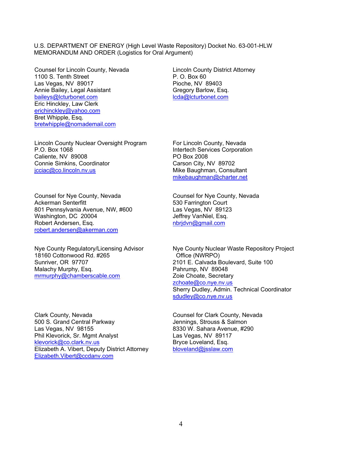Counsel for Lincoln County, Nevada 1100 S. Tenth Street Las Vegas, NV 89017 Annie Bailey, Legal Assistant baileys@lcturbonet.com Eric Hinckley, Law Clerk erichinckley@yahoo.com Bret Whipple, Esq. bretwhipple@nomademail.com

Lincoln County Nuclear Oversight Program P.O. Box 1068 Caliente, NV 89008 Connie Simkins, Coordinator jcciac@co.lincoln.nv.us

Counsel for Nye County, Nevada Ackerman Senterfitt 801 Pennsylvania Avenue, NW, #600 Washington, DC 20004 Robert Andersen, Esq. robert.andersen@akerman.com

Nye County Regulatory/Licensing Advisor 18160 Cottonwood Rd. #265 Sunriver, OR 97707 Malachy Murphy, Esq. mrmurphy@chamberscable.com

Clark County, Nevada 500 S. Grand Central Parkway Las Vegas, NV 98155 Phil Klevorick, Sr. Mgmt Analyst klevorick@co.clark.nv.us Elizabeth A. Vibert, Deputy District Attorney Elizabeth.Vibert@ccdanv.com

Lincoln County District Attorney P. O. Box 60 Pioche, NV 89403 Gregory Barlow, Esq. lcda@lcturbonet.com

For Lincoln County, Nevada Intertech Services Corporation PO Box 2008 Carson City, NV 89702 Mike Baughman, Consultant mikebaughman@charter.net

Counsel for Nye County, Nevada 530 Farrington Court Las Vegas, NV 89123 Jeffrey VanNiel, Esq. nbrjdvn@gmail.com

Nye County Nuclear Waste Repository Project Office (NWRPO) 2101 E. Calvada Boulevard, Suite 100 Pahrump, NV 89048 Zoie Choate, Secretary zchoate@co.nye.nv.us Sherry Dudley, Admin. Technical Coordinator sdudley@co.nye.nv.us

Counsel for Clark County, Nevada Jennings, Strouss & Salmon 8330 W. Sahara Avenue, #290 Las Vegas, NV 89117 Bryce Loveland, Esq. bloveland@jsslaw.com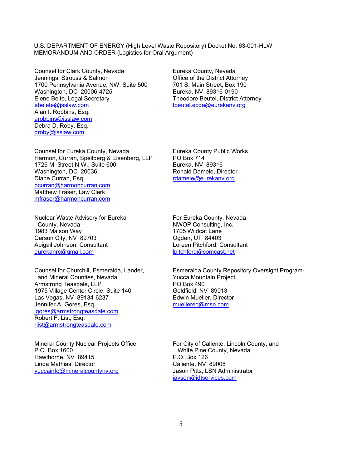Counsel for Clark County, Nevada Jennings, Strouss & Salmon 1700 Pennsylvania Avenue, NW, Suite 500 Washington, DC 20006-4725 Elene Belte, Legal Secretary ebelete@jsslaw.com Alan I. Robbins, Esq. arobbins@jsslaw.com Debra D. Roby, Esq. droby@jsslaw.com

Counsel for Eureka County, Nevada Harmon, Curran, Speilberg & Eisenberg, LLP 1726 M. Street N.W., Suite 600 Washington, DC 20036 Diane Curran, Esq. dcurran@harmoncurran.com Matthew Fraser, Law Clerk mfraser@harmoncurran.com

Nuclear Waste Advisory for Eureka County, Nevada 1983 Maison Way Carson City, NV 89703 Abigail Johnson, Consultant eurekanrc@gmail.com

Counsel for Churchill, Esmeralda, Lander, and Mineral Counties, Nevada Armstrong Teasdale, LLP 1975 Village Center Circle, Suite 140 Las Vegas, NV 89134-6237 Jennifer A. Gores, Esq. jgores@armstrongteasdale.com Robert F. List, Esq. rlist@armstrongteasdale.com

Mineral County Nuclear Projects Office P.O. Box 1600 Hawthorne, NV 89415 Linda Mathias, Director yuccainfo@mineralcountynv.org

Eureka County, Nevada Office of the District Attorney 701 S. Main Street, Box 190 Eureka, NV 89316-0190 Theodore Beutel, District Attorney tbeutel.ecda@eurekanv.org

Eureka County Public Works PO Box 714 Eureka, NV 89316 Ronald Damele, Director rdamele@eurekanv.org

For Eureka County, Nevada NWOP Consulting, Inc. 1705 Wildcat Lane Ogden, UT 84403 Loreen Pitchford, Consultant lpitchford@comcast.net

Esmeralda County Repository Oversight Program-Yucca Mountain Project PO Box 490 Goldfield, NV 89013 Edwin Mueller, Director muellered@msn.com

For City of Caliente, Lincoln County, and White Pine County, Nevada P.O. Box 126 Caliente, NV 89008 Jason Pitts, LSN Administrator jayson@idtservices.com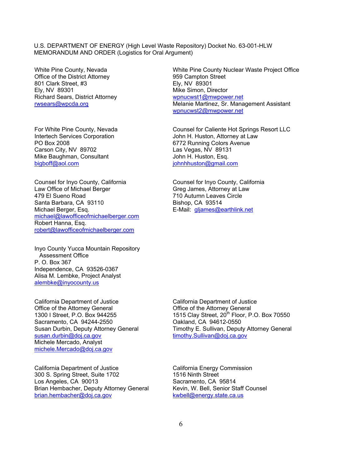White Pine County, Nevada Office of the District Attorney 801 Clark Street, #3 Ely, NV 89301 Richard Sears, District Attorney rwsears@wpcda.org

For White Pine County, Nevada Intertech Services Corporation PO Box 2008 Carson City, NV 89702 Mike Baughman, Consultant bigboff@aol.com

Counsel for Inyo County, California Law Office of Michael Berger 479 El Sueno Road Santa Barbara, CA 93110 Michael Berger, Esq. michael@lawofficeofmichaelberger.com Robert Hanna, Esq. robert@lawofficeofmichaelberger.com

Inyo County Yucca Mountain Repository Assessment Office P. O. Box 367 Independence, CA 93526-0367 Alisa M. Lembke, Project Analyst alembke@inyocounty.us

California Department of Justice Office of the Attorney General 1300 I Street, P.O. Box 944255 Sacramento, CA 94244-2550 Susan Durbin, Deputy Attorney General susan.durbin@doj.ca.gov Michele Mercado, Analyst michele.Mercado@doj.ca.gov

California Department of Justice 300 S. Spring Street, Suite 1702 Los Angeles, CA 90013 Brian Hembacher, Deputy Attorney General brian.hembacher@doj.ca.gov

White Pine County Nuclear Waste Project Office 959 Campton Street Ely, NV 89301 Mike Simon, Director wpnucwst1@mwpower.net Melanie Martinez, Sr. Management Assistant wpnucwst2@mwpower.net

Counsel for Caliente Hot Springs Resort LLC John H. Huston, Attorney at Law 6772 Running Colors Avenue Las Vegas, NV 89131 John H. Huston, Esq. johnhhuston@gmail.com

Counsel for Inyo County, California Greg James, Attorney at Law 710 Autumn Leaves Circle Bishop, CA 93514 E-Mail: gljames@earthlink.net

California Department of Justice Office of the Attorney General 1515 Clay Street, 20<sup>th</sup> Floor, P.O. Box 70550 Oakland, CA 94612-0550 Timothy E. Sullivan, Deputy Attorney General timothy.Sullivan@doj.ca.gov

California Energy Commission 1516 Ninth Street Sacramento, CA 95814 Kevin, W. Bell, Senior Staff Counsel kwbell@energy.state.ca.us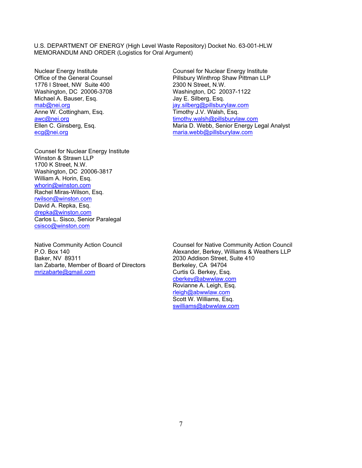Nuclear Energy Institute Office of the General Counsel 1776 I Street, NW Suite 400 Washington, DC 20006-3708 Michael A. Bauser, Esq. mab@nei.org Anne W. Cottingham, Esq. awc@nei.org Ellen C. Ginsberg, Esq. ecg@nei.org

Counsel for Nuclear Energy Institute Winston & Strawn LLP 1700 K Street, N.W. Washington, DC 20006-3817 William A. Horin, Esq. whorin@winston.com Rachel Miras-Wilson, Esq. rwilson@winston.com David A. Repka, Esq. drepka@winston.com Carlos L. Sisco, Senior Paralegal csisco@winston.com

Native Community Action Council P.O. Box 140 Baker, NV 89311 Ian Zabarte, Member of Board of Directors mrizabarte@gmail.com

Counsel for Nuclear Energy Institute Pillsbury Winthrop Shaw Pittman LLP 2300 N Street, N.W. Washington, DC 20037-1122 Jay E. Silberg, Esq. jay.silberg@pillsburylaw.com Timothy J.V. Walsh, Esq. timothy.walsh@pillsburylaw.com Maria D. Webb, Senior Energy Legal Analyst maria.webb@pillsburylaw.com

Counsel for Native Community Action Council Alexander, Berkey, Williams & Weathers LLP 2030 Addison Street, Suite 410 Berkeley, CA 94704 Curtis G. Berkey, Esq. cberkey@abwwlaw.com Rovianne A. Leigh, Esq. rleigh@abwwlaw.com Scott W. Williams, Esq. swilliams@abwwlaw.com